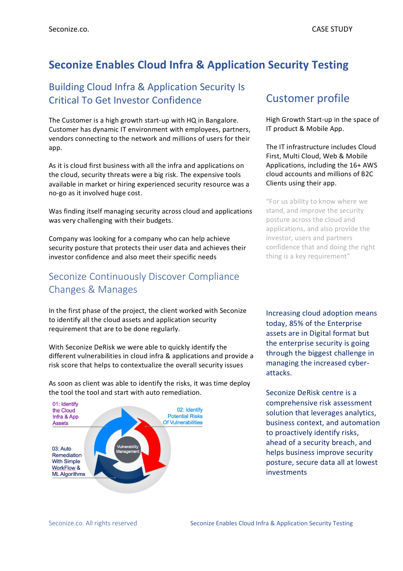# **Seconize Enables Cloud Infra & Application Security Testing**

#### Building Cloud Infra & Application Security Is Critical To Get Investor Confidence

The Customer is a high growth start-up with HQ in Bangalore. Customer has dynamic IT environment with employees, partners, vendors connecting to the network and millions of users for their app.

As it is cloud first business with all the infra and applications on the cloud, security threats were a big risk. The expensive tools available in market or hiring experienced security resource was a no-go as it involved huge cost.

Was finding itself managing security across cloud and applications was very challenging with their budgets.

Company was looking for a company who can help achieve security posture that protects their user data and achieves their investor confidence and also meet their specific needs

### Seconize Continuously Discover Compliance Changes & Manages

In the first phase of the project, the client worked with Seconize to identify all the cloud assets and application security requirement that are to be done regularly.

With Seconize DeRisk we were able to quickly identify the different vulnerabilities in cloud infra & applications and provide a risk score that helps to contextualize the overall security issues

As soon as client was able to identify the risks, it was time deploy the tool the tool and start with auto remediation.



# Customer profile

High Growth Start-up in the space of IT product & Mobile App.

The IT infrastructure includes Cloud First, Multi Cloud, Web & Mobile Applications, including the 16+ AWS cloud accounts and millions of B2C Clients using their app.

"For us ability to know where we stand, and improve the security posture across the cloud and applications, and also provide the investor, users and partners confidence that and doing the right thing is a key requirement"

Increasing cloud adoption means today, 85% of the Enterprise assets are in Digital format but the enterprise security is going through the biggest challenge in managing the increased cyberattacks.

Seconize DeRisk centre is a comprehensive risk assessment solution that leverages analytics, business context, and automation to proactively identify risks, ahead of a security breach, and helps business improve security posture, secure data all at lowest investments